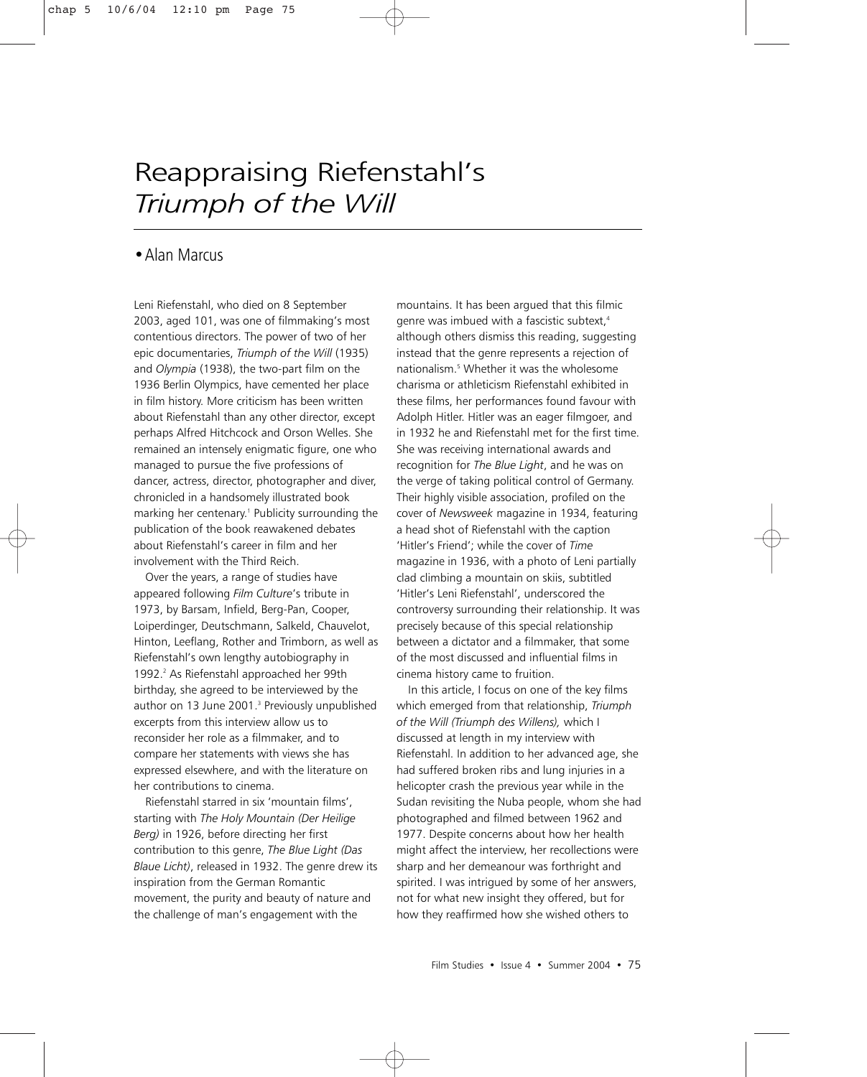## •Alan Marcus

Leni Riefenstahl, who died on 8 September 2003, aged 101, was one of filmmaking's most contentious directors. The power of two of her epic documentaries, *Triumph of the Will* (1935) and *Olympia* (1938), the two-part film on the 1936 Berlin Olympics, have cemented her place in film history. More criticism has been written about Riefenstahl than any other director, except perhaps Alfred Hitchcock and Orson Welles. She remained an intensely enigmatic figure, one who managed to pursue the five professions of dancer, actress, director, photographer and diver, chronicled in a handsomely illustrated book marking her centenary.<sup>1</sup> Publicity surrounding the publication of the book reawakened debates about Riefenstahl's career in film and her involvement with the Third Reich.

Over the years, a range of studies have appeared following *Film Culture*'s tribute in 1973, by Barsam, Infield, Berg-Pan, Cooper, Loiperdinger, Deutschmann, Salkeld, Chauvelot, Hinton, Leeflang, Rother and Trimborn, as well as Riefenstahl's own lengthy autobiography in 1992.<sup>2</sup> As Riefenstahl approached her 99th birthday, she agreed to be interviewed by the author on 13 June 2001.<sup>3</sup> Previously unpublished excerpts from this interview allow us to reconsider her role as a filmmaker, and to compare her statements with views she has expressed elsewhere, and with the literature on her contributions to cinema.

Riefenstahl starred in six 'mountain films', starting with *The Holy Mountain (Der Heilige Berg)* in 1926, before directing her first contribution to this genre, *The Blue Light (Das Blaue Licht)*, released in 1932. The genre drew its inspiration from the German Romantic movement, the purity and beauty of nature and the challenge of man's engagement with the

mountains. It has been argued that this filmic genre was imbued with a fascistic subtext,<sup>4</sup> although others dismiss this reading, suggesting instead that the genre represents a rejection of nationalism.5 Whether it was the wholesome charisma or athleticism Riefenstahl exhibited in these films, her performances found favour with Adolph Hitler. Hitler was an eager filmgoer, and in 1932 he and Riefenstahl met for the first time. She was receiving international awards and recognition for *The Blue Light*, and he was on the verge of taking political control of Germany. Their highly visible association, profiled on the cover of *Newsweek* magazine in 1934, featuring a head shot of Riefenstahl with the caption 'Hitler's Friend'; while the cover of *Time* magazine in 1936, with a photo of Leni partially clad climbing a mountain on skiis, subtitled 'Hitler's Leni Riefenstahl', underscored the controversy surrounding their relationship. It was precisely because of this special relationship between a dictator and a filmmaker, that some of the most discussed and influential films in cinema history came to fruition.

In this article, I focus on one of the key films which emerged from that relationship, *Triumph of the Will (Triumph des Willens),* which I discussed at length in my interview with Riefenstahl. In addition to her advanced age, she had suffered broken ribs and lung injuries in a helicopter crash the previous year while in the Sudan revisiting the Nuba people, whom she had photographed and filmed between 1962 and 1977. Despite concerns about how her health might affect the interview, her recollections were sharp and her demeanour was forthright and spirited. I was intrigued by some of her answers, not for what new insight they offered, but for how they reaffirmed how she wished others to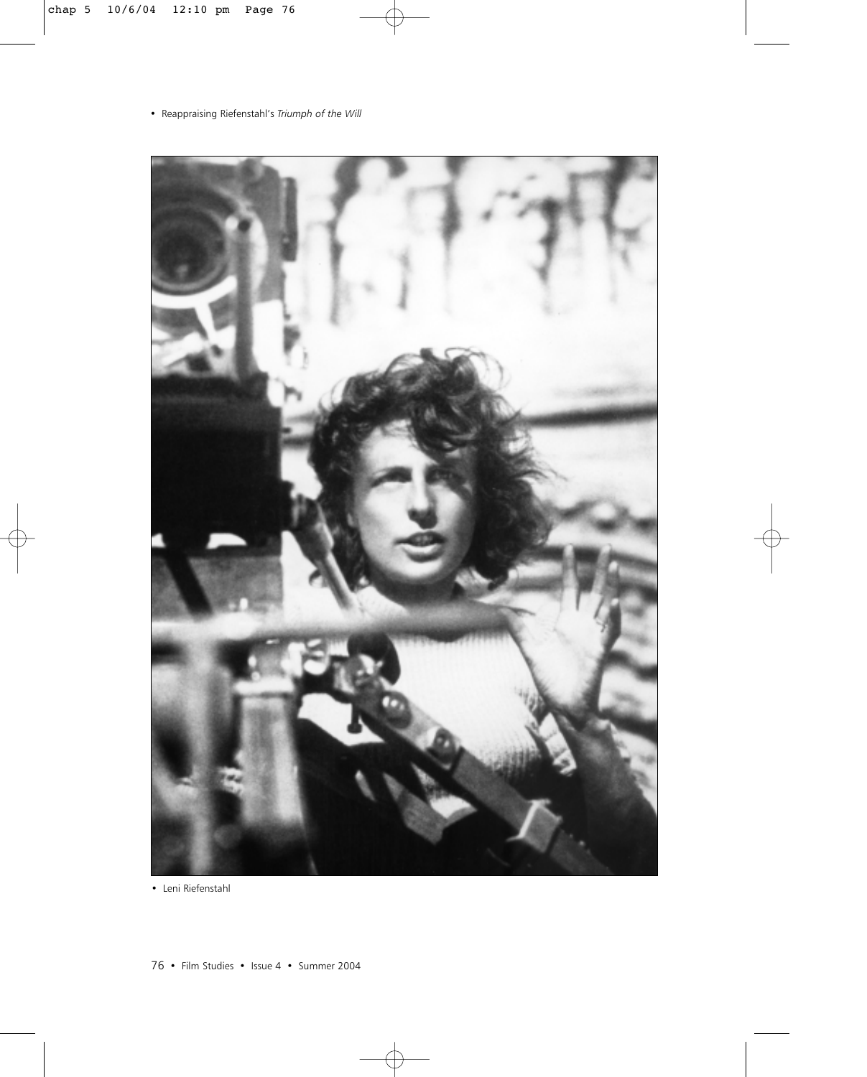

• Leni Riefenstahl

76 • Film Studies • Issue 4 • Summer 2004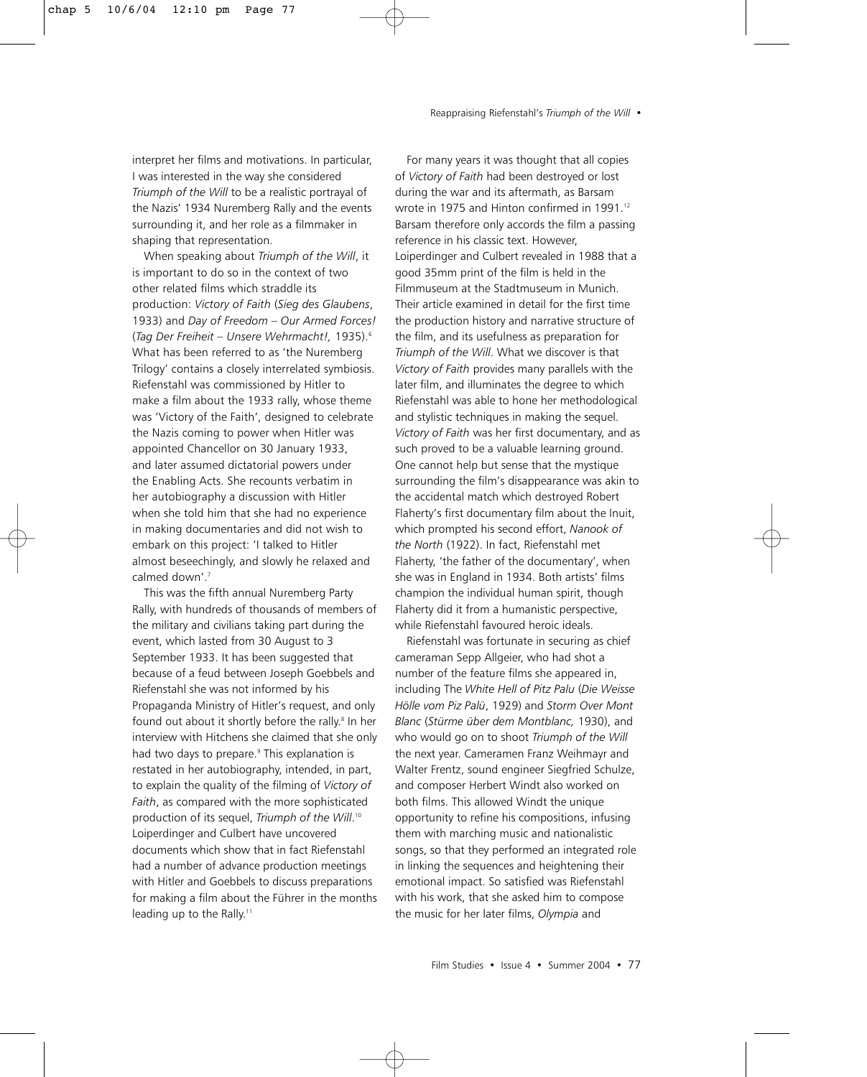interpret her films and motivations. In particular, I was interested in the way she considered *Triumph of the Will* to be a realistic portrayal of the Nazis' 1934 Nuremberg Rally and the events surrounding it, and her role as a filmmaker in shaping that representation.

When speaking about *Triumph of the Will*, it is important to do so in the context of two other related films which straddle its production: *Victory of Faith* (*Sieg des Glaubens*, 1933) and *Day of Freedom – Our Armed Forces!* (*Tag Der Freiheit – Unsere Wehrmacht!,* 1935).6 What has been referred to as 'the Nuremberg Trilogy' contains a closely interrelated symbiosis. Riefenstahl was commissioned by Hitler to make a film about the 1933 rally, whose theme was 'Victory of the Faith', designed to celebrate the Nazis coming to power when Hitler was appointed Chancellor on 30 January 1933, and later assumed dictatorial powers under the Enabling Acts. She recounts verbatim in her autobiography a discussion with Hitler when she told him that she had no experience in making documentaries and did not wish to embark on this project: 'I talked to Hitler almost beseechingly, and slowly he relaxed and calmed down'.<sup>7</sup>

This was the fifth annual Nuremberg Party Rally, with hundreds of thousands of members of the military and civilians taking part during the event, which lasted from 30 August to 3 September 1933. It has been suggested that because of a feud between Joseph Goebbels and Riefenstahl she was not informed by his Propaganda Ministry of Hitler's request, and only found out about it shortly before the rally.<sup>8</sup> In her interview with Hitchens she claimed that she only had two days to prepare.<sup>9</sup> This explanation is restated in her autobiography, intended, in part, to explain the quality of the filming of *Victory of Faith*, as compared with the more sophisticated production of its sequel, *Triumph of the Will*. 10 Loiperdinger and Culbert have uncovered documents which show that in fact Riefenstahl had a number of advance production meetings with Hitler and Goebbels to discuss preparations for making a film about the Führer in the months leading up to the Rally.<sup>11</sup>

Reappraising Riefenstahl's *Triumph of the Will* •

For many years it was thought that all copies of *Victory of Faith* had been destroyed or lost during the war and its aftermath, as Barsam wrote in 1975 and Hinton confirmed in 1991.<sup>12</sup> Barsam therefore only accords the film a passing reference in his classic text. However, Loiperdinger and Culbert revealed in 1988 that a good 35mm print of the film is held in the Filmmuseum at the Stadtmuseum in Munich. Their article examined in detail for the first time the production history and narrative structure of the film, and its usefulness as preparation for *Triumph of the Will*. What we discover is that *Victory of Faith* provides many parallels with the later film, and illuminates the degree to which Riefenstahl was able to hone her methodological and stylistic techniques in making the sequel. *Victory of Faith* was her first documentary, and as such proved to be a valuable learning ground. One cannot help but sense that the mystique surrounding the film's disappearance was akin to the accidental match which destroyed Robert Flaherty's first documentary film about the Inuit, which prompted his second effort, *Nanook of the North* (1922). In fact, Riefenstahl met Flaherty, 'the father of the documentary', when she was in England in 1934. Both artists' films champion the individual human spirit, though Flaherty did it from a humanistic perspective, while Riefenstahl favoured heroic ideals.

Riefenstahl was fortunate in securing as chief cameraman Sepp Allgeier, who had shot a number of the feature films she appeared in, including The *White Hell of Pitz Palu* (*Die Weisse Hölle vom Piz Palü*, 1929) and *Storm Over Mont Blanc* (*Stürme über dem Montblanc,* 1930), and who would go on to shoot *Triumph of the Will* the next year. Cameramen Franz Weihmayr and Walter Frentz, sound engineer Siegfried Schulze, and composer Herbert Windt also worked on both films. This allowed Windt the unique opportunity to refine his compositions, infusing them with marching music and nationalistic songs, so that they performed an integrated role in linking the sequences and heightening their emotional impact. So satisfied was Riefenstahl with his work, that she asked him to compose the music for her later films, *Olympia* and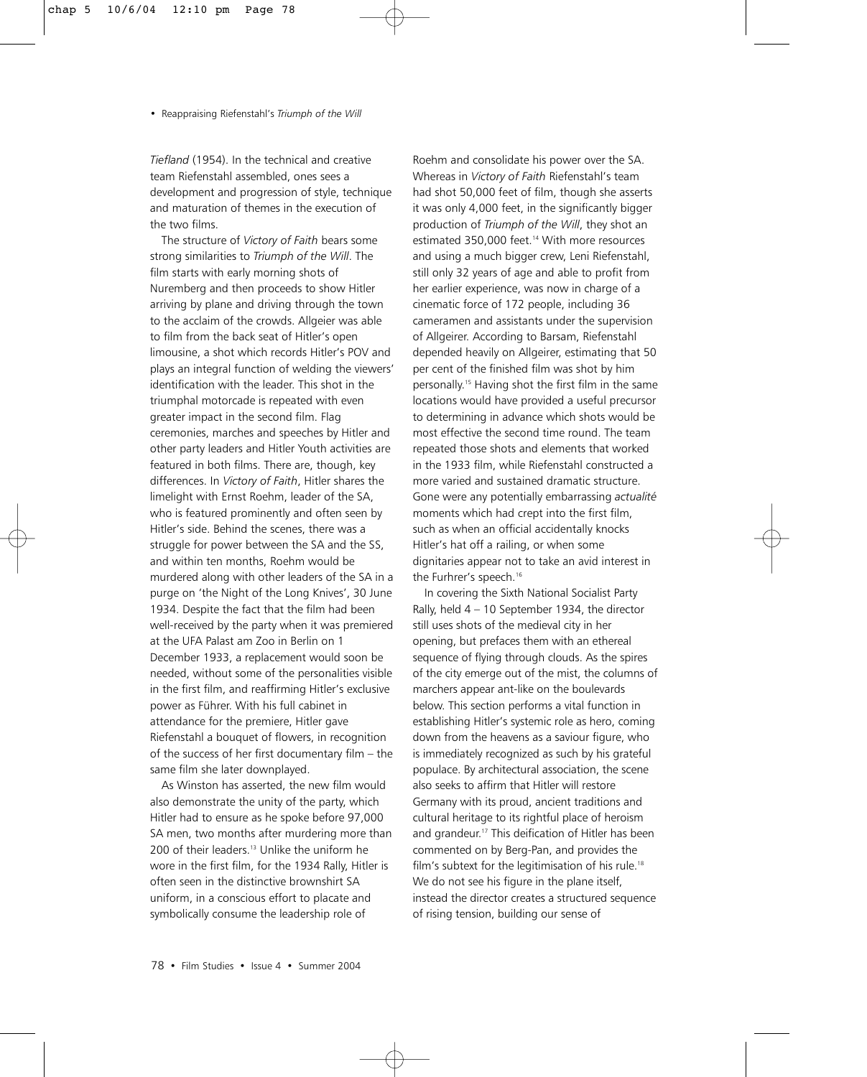*Tiefland* (1954). In the technical and creative team Riefenstahl assembled, ones sees a development and progression of style, technique and maturation of themes in the execution of the two films.

The structure of *Victory of Faith* bears some strong similarities to *Triumph of the Will*. The film starts with early morning shots of Nuremberg and then proceeds to show Hitler arriving by plane and driving through the town to the acclaim of the crowds. Allgeier was able to film from the back seat of Hitler's open limousine, a shot which records Hitler's POV and plays an integral function of welding the viewers' identification with the leader. This shot in the triumphal motorcade is repeated with even greater impact in the second film. Flag ceremonies, marches and speeches by Hitler and other party leaders and Hitler Youth activities are featured in both films. There are, though, key differences. In *Victory of Faith*, Hitler shares the limelight with Ernst Roehm, leader of the SA, who is featured prominently and often seen by Hitler's side. Behind the scenes, there was a struggle for power between the SA and the SS, and within ten months, Roehm would be murdered along with other leaders of the SA in a purge on 'the Night of the Long Knives', 30 June 1934. Despite the fact that the film had been well-received by the party when it was premiered at the UFA Palast am Zoo in Berlin on 1 December 1933, a replacement would soon be needed, without some of the personalities visible in the first film, and reaffirming Hitler's exclusive power as Führer. With his full cabinet in attendance for the premiere, Hitler gave Riefenstahl a bouquet of flowers, in recognition of the success of her first documentary film – the same film she later downplayed.

As Winston has asserted, the new film would also demonstrate the unity of the party, which Hitler had to ensure as he spoke before 97,000 SA men, two months after murdering more than 200 of their leaders.<sup>13</sup> Unlike the uniform he wore in the first film, for the 1934 Rally, Hitler is often seen in the distinctive brownshirt SA uniform, in a conscious effort to placate and symbolically consume the leadership role of

Roehm and consolidate his power over the SA. Whereas in *Victory of Faith* Riefenstahl's team had shot 50,000 feet of film, though she asserts it was only 4,000 feet, in the significantly bigger production of *Triumph of the Will*, they shot an estimated 350,000 feet.<sup>14</sup> With more resources and using a much bigger crew, Leni Riefenstahl, still only 32 years of age and able to profit from her earlier experience, was now in charge of a cinematic force of 172 people, including 36 cameramen and assistants under the supervision of Allgeirer. According to Barsam, Riefenstahl depended heavily on Allgeirer, estimating that 50 per cent of the finished film was shot by him personally.15 Having shot the first film in the same locations would have provided a useful precursor to determining in advance which shots would be most effective the second time round. The team repeated those shots and elements that worked in the 1933 film, while Riefenstahl constructed a more varied and sustained dramatic structure. Gone were any potentially embarrassing *actualité* moments which had crept into the first film, such as when an official accidentally knocks Hitler's hat off a railing, or when some dignitaries appear not to take an avid interest in the Furhrer's speech.<sup>16</sup>

In covering the Sixth National Socialist Party Rally, held 4 – 10 September 1934, the director still uses shots of the medieval city in her opening, but prefaces them with an ethereal sequence of flying through clouds. As the spires of the city emerge out of the mist, the columns of marchers appear ant-like on the boulevards below. This section performs a vital function in establishing Hitler's systemic role as hero, coming down from the heavens as a saviour figure, who is immediately recognized as such by his grateful populace. By architectural association, the scene also seeks to affirm that Hitler will restore Germany with its proud, ancient traditions and cultural heritage to its rightful place of heroism and grandeur.<sup>17</sup> This deification of Hitler has been commented on by Berg-Pan, and provides the film's subtext for the legitimisation of his rule.<sup>18</sup> We do not see his figure in the plane itself, instead the director creates a structured sequence of rising tension, building our sense of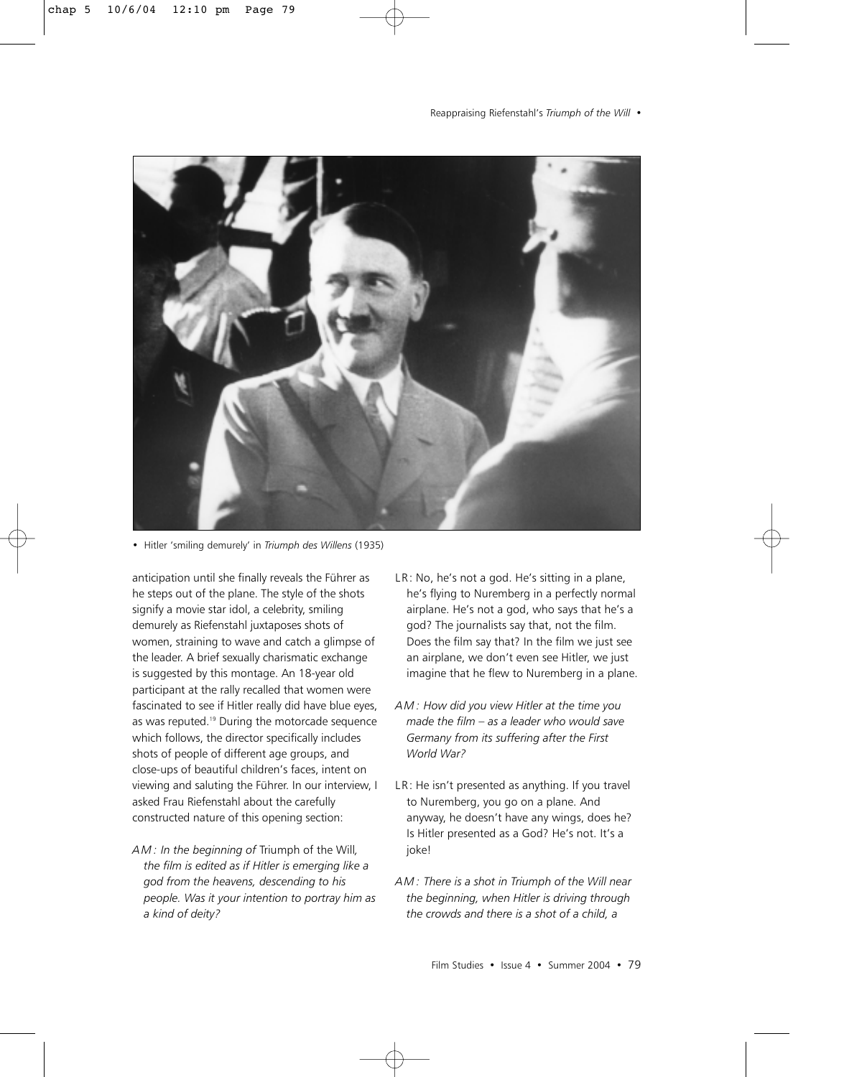

• Hitler 'smiling demurely' in *Triumph des Willens* (1935)

anticipation until she finally reveals the Führer as he steps out of the plane. The style of the shots signify a movie star idol, a celebrity, smiling demurely as Riefenstahl juxtaposes shots of women, straining to wave and catch a glimpse of the leader. A brief sexually charismatic exchange is suggested by this montage. An 18-year old participant at the rally recalled that women were fascinated to see if Hitler really did have blue eyes, as was reputed.19 During the motorcade sequence which follows, the director specifically includes shots of people of different age groups, and close-ups of beautiful children's faces, intent on viewing and saluting the Führer. In our interview, I asked Frau Riefenstahl about the carefully constructed nature of this opening section:

*AM: In the beginning of* Triumph of the Will*, the film is edited as if Hitler is emerging like a god from the heavens, descending to his people. Was it your intention to portray him as a kind of deity?*

- LR: No, he's not a god. He's sitting in a plane, he's flying to Nuremberg in a perfectly normal airplane. He's not a god, who says that he's a god? The journalists say that, not the film. Does the film say that? In the film we just see an airplane, we don't even see Hitler, we just imagine that he flew to Nuremberg in a plane.
- *AM: How did you view Hitler at the time you made the film – as a leader who would save Germany from its suffering after the First World War?*
- LR: He isn't presented as anything. If you travel to Nuremberg, you go on a plane. And anyway, he doesn't have any wings, does he? Is Hitler presented as a God? He's not. It's a joke!
- *AM: There is a shot in Triumph of the Will near the beginning, when Hitler is driving through the crowds and there is a shot of a child, a*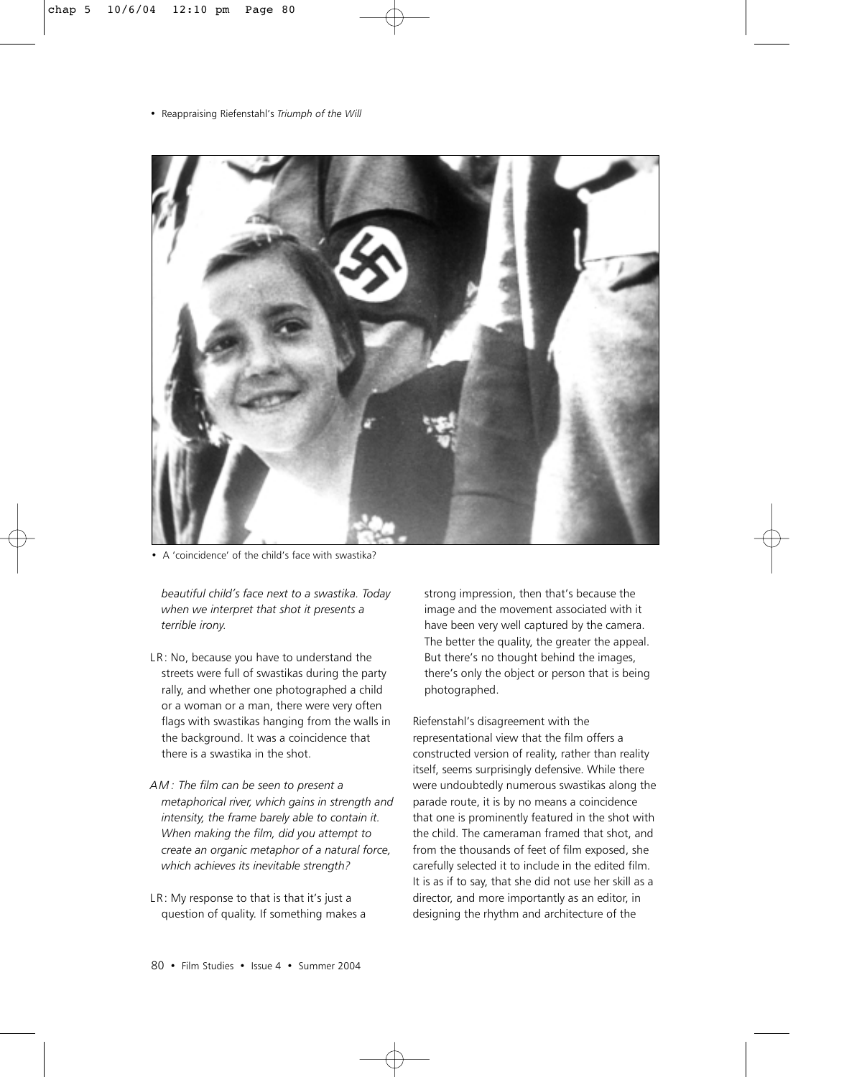

• A 'coincidence' of the child's face with swastika?

*beautiful child's face next to a swastika. Today when we interpret that shot it presents a terrible irony.*

- LR: No, because you have to understand the streets were full of swastikas during the party rally, and whether one photographed a child or a woman or a man, there were very often flags with swastikas hanging from the walls in the background. It was a coincidence that there is a swastika in the shot.
- *AM: The film can be seen to present a metaphorical river, which gains in strength and intensity, the frame barely able to contain it. When making the film, did you attempt to create an organic metaphor of a natural force, which achieves its inevitable strength?*
- LR: My response to that is that it's just a question of quality. If something makes a

strong impression, then that's because the image and the movement associated with it have been very well captured by the camera. The better the quality, the greater the appeal. But there's no thought behind the images, there's only the object or person that is being photographed.

Riefenstahl's disagreement with the representational view that the film offers a constructed version of reality, rather than reality itself, seems surprisingly defensive. While there were undoubtedly numerous swastikas along the parade route, it is by no means a coincidence that one is prominently featured in the shot with the child. The cameraman framed that shot, and from the thousands of feet of film exposed, she carefully selected it to include in the edited film. It is as if to say, that she did not use her skill as a director, and more importantly as an editor, in designing the rhythm and architecture of the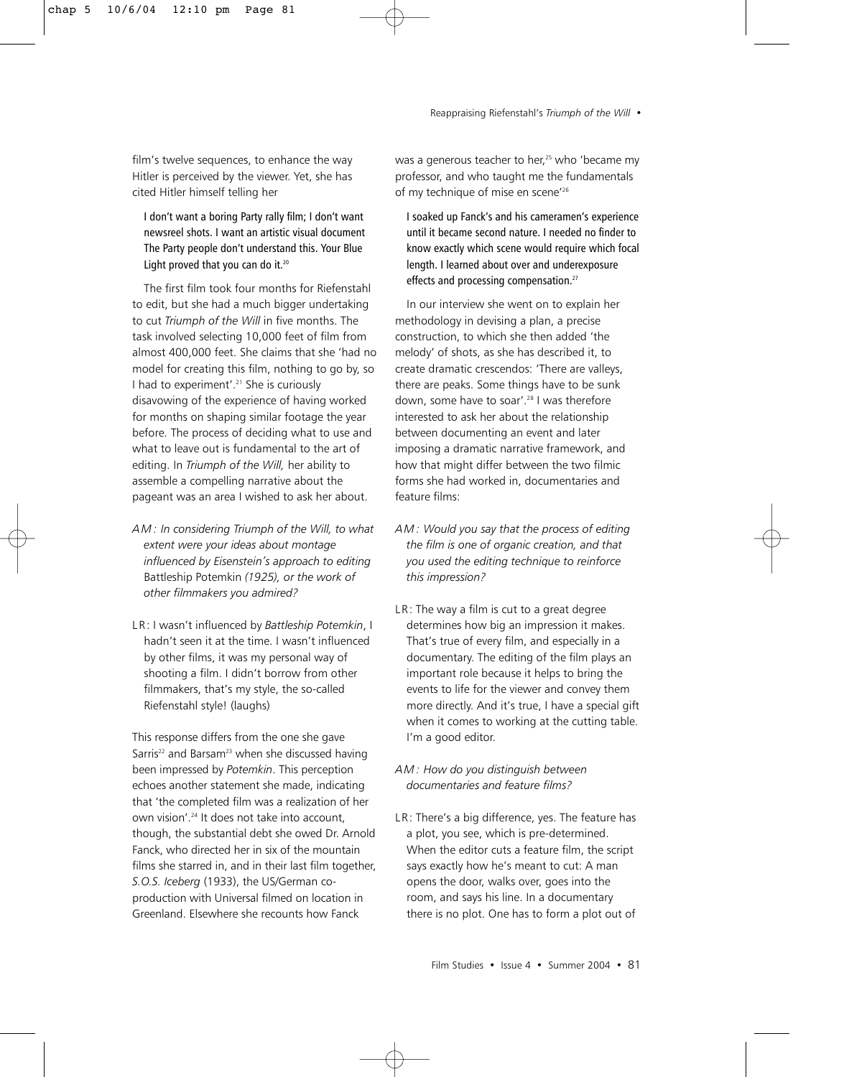film's twelve sequences, to enhance the way Hitler is perceived by the viewer. Yet, she has cited Hitler himself telling her

I don't want a boring Party rally film; I don't want newsreel shots. I want an artistic visual document The Party people don't understand this. Your Blue Light proved that you can do it.<sup>20</sup>

The first film took four months for Riefenstahl to edit, but she had a much bigger undertaking to cut *Triumph of the Will* in five months. The task involved selecting 10,000 feet of film from almost 400,000 feet. She claims that she 'had no model for creating this film, nothing to go by, so I had to experiment'.<sup>21</sup> She is curiously disavowing of the experience of having worked for months on shaping similar footage the year before. The process of deciding what to use and what to leave out is fundamental to the art of editing. In *Triumph of the Will,* her ability to assemble a compelling narrative about the pageant was an area I wished to ask her about.

- *AM: In considering Triumph of the Will, to what extent were your ideas about montage influenced by Eisenstein's approach to editing* Battleship Potemkin *(1925), or the work of other filmmakers you admired?*
- LR: I wasn't influenced by *Battleship Potemkin*, I hadn't seen it at the time. I wasn't influenced by other films, it was my personal way of shooting a film. I didn't borrow from other filmmakers, that's my style, the so-called Riefenstahl style! (laughs)

This response differs from the one she gave Sarris<sup>22</sup> and Barsam<sup>23</sup> when she discussed having been impressed by *Potemkin*. This perception echoes another statement she made, indicating that 'the completed film was a realization of her own vision'.24 It does not take into account, though, the substantial debt she owed Dr. Arnold Fanck, who directed her in six of the mountain films she starred in, and in their last film together, *S.O.S. Iceberg* (1933), the US/German coproduction with Universal filmed on location in Greenland. Elsewhere she recounts how Fanck

was a generous teacher to her,<sup>25</sup> who 'became my professor, and who taught me the fundamentals of my technique of mise en scene'26

I soaked up Fanck's and his cameramen's experience until it became second nature. I needed no finder to know exactly which scene would require which focal length. I learned about over and underexposure effects and processing compensation.<sup>27</sup>

In our interview she went on to explain her methodology in devising a plan, a precise construction, to which she then added 'the melody' of shots, as she has described it, to create dramatic crescendos: 'There are valleys, there are peaks. Some things have to be sunk down, some have to soar'.<sup>28</sup> I was therefore interested to ask her about the relationship between documenting an event and later imposing a dramatic narrative framework, and how that might differ between the two filmic forms she had worked in, documentaries and feature films:

- *AM: Would you say that the process of editing the film is one of organic creation, and that you used the editing technique to reinforce this impression?*
- LR: The way a film is cut to a great degree determines how big an impression it makes. That's true of every film, and especially in a documentary. The editing of the film plays an important role because it helps to bring the events to life for the viewer and convey them more directly. And it's true, I have a special gift when it comes to working at the cutting table. I'm a good editor.
- *AM: How do you distinguish between documentaries and feature films?*
- LR: There's a big difference, yes. The feature has a plot, you see, which is pre-determined. When the editor cuts a feature film, the script says exactly how he's meant to cut: A man opens the door, walks over, goes into the room, and says his line. In a documentary there is no plot. One has to form a plot out of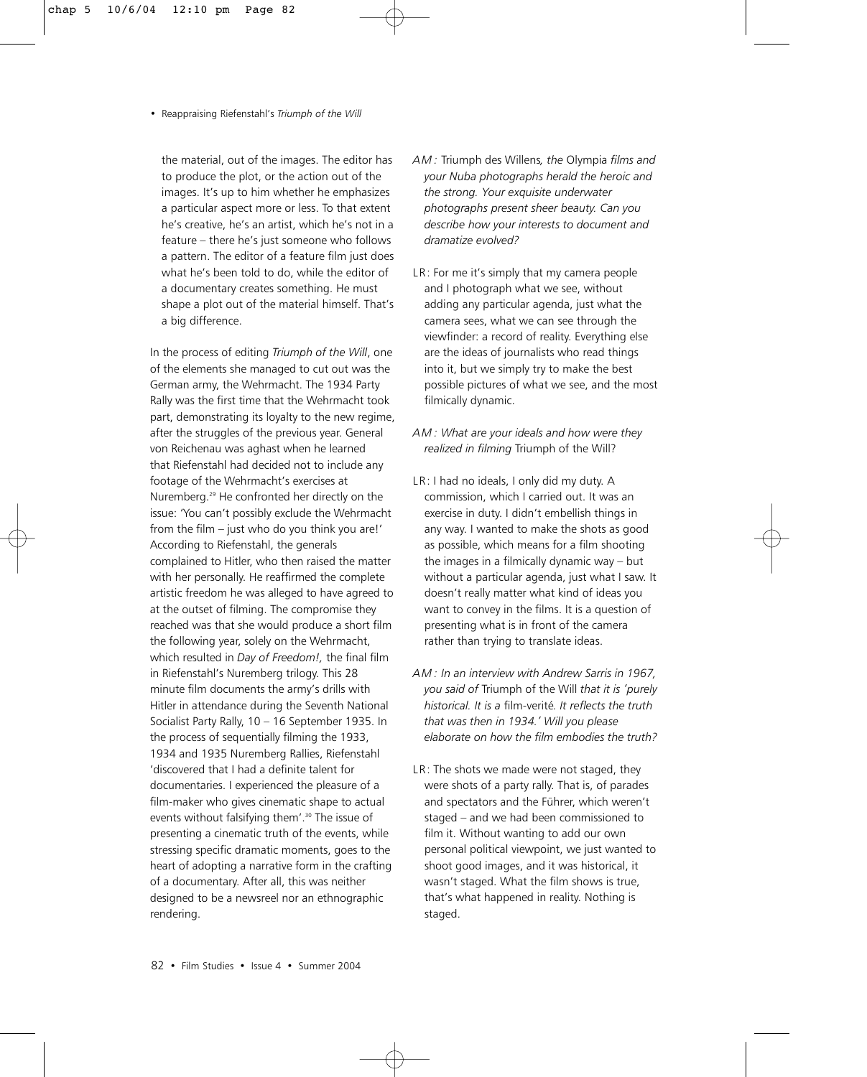the material, out of the images. The editor has to produce the plot, or the action out of the images. It's up to him whether he emphasizes a particular aspect more or less. To that extent he's creative, he's an artist, which he's not in a feature – there he's just someone who follows a pattern. The editor of a feature film just does what he's been told to do, while the editor of a documentary creates something. He must shape a plot out of the material himself. That's a big difference.

In the process of editing *Triumph of the Will*, one of the elements she managed to cut out was the German army, the Wehrmacht. The 1934 Party Rally was the first time that the Wehrmacht took part, demonstrating its loyalty to the new regime, after the struggles of the previous year. General von Reichenau was aghast when he learned that Riefenstahl had decided not to include any footage of the Wehrmacht's exercises at Nuremberg.29 He confronted her directly on the issue: 'You can't possibly exclude the Wehrmacht from the film – just who do you think you are!' According to Riefenstahl, the generals complained to Hitler, who then raised the matter with her personally. He reaffirmed the complete artistic freedom he was alleged to have agreed to at the outset of filming. The compromise they reached was that she would produce a short film the following year, solely on the Wehrmacht, which resulted in *Day of Freedom!,* the final film in Riefenstahl's Nuremberg trilogy. This 28 minute film documents the army's drills with Hitler in attendance during the Seventh National Socialist Party Rally, 10 – 16 September 1935. In the process of sequentially filming the 1933, 1934 and 1935 Nuremberg Rallies, Riefenstahl 'discovered that I had a definite talent for documentaries. I experienced the pleasure of a film-maker who gives cinematic shape to actual events without falsifying them'.<sup>30</sup> The issue of presenting a cinematic truth of the events, while stressing specific dramatic moments, goes to the heart of adopting a narrative form in the crafting of a documentary. After all, this was neither designed to be a newsreel nor an ethnographic rendering.

- *AM:* Triumph des Willens*, the* Olympia *films and your Nuba photographs herald the heroic and the strong. Your exquisite underwater photographs present sheer beauty. Can you describe how your interests to document and dramatize evolved?*
- LR: For me it's simply that my camera people and I photograph what we see, without adding any particular agenda, just what the camera sees, what we can see through the viewfinder: a record of reality. Everything else are the ideas of journalists who read things into it, but we simply try to make the best possible pictures of what we see, and the most filmically dynamic.
- *AM: What are your ideals and how were they realized in filming* Triumph of the Will?
- LR: I had no ideals, I only did my duty. A commission, which I carried out. It was an exercise in duty. I didn't embellish things in any way. I wanted to make the shots as good as possible, which means for a film shooting the images in a filmically dynamic way – but without a particular agenda, just what I saw. It doesn't really matter what kind of ideas you want to convey in the films. It is a question of presenting what is in front of the camera rather than trying to translate ideas.
- *AM: In an interview with Andrew Sarris in 1967, you said of* Triumph of the Will *that it is 'purely historical. It is a* film-verité*. It reflects the truth that was then in 1934.' Will you please elaborate on how the film embodies the truth?*
- LR: The shots we made were not staged, they were shots of a party rally. That is, of parades and spectators and the Führer, which weren't staged – and we had been commissioned to film it. Without wanting to add our own personal political viewpoint, we just wanted to shoot good images, and it was historical, it wasn't staged. What the film shows is true, that's what happened in reality. Nothing is staged.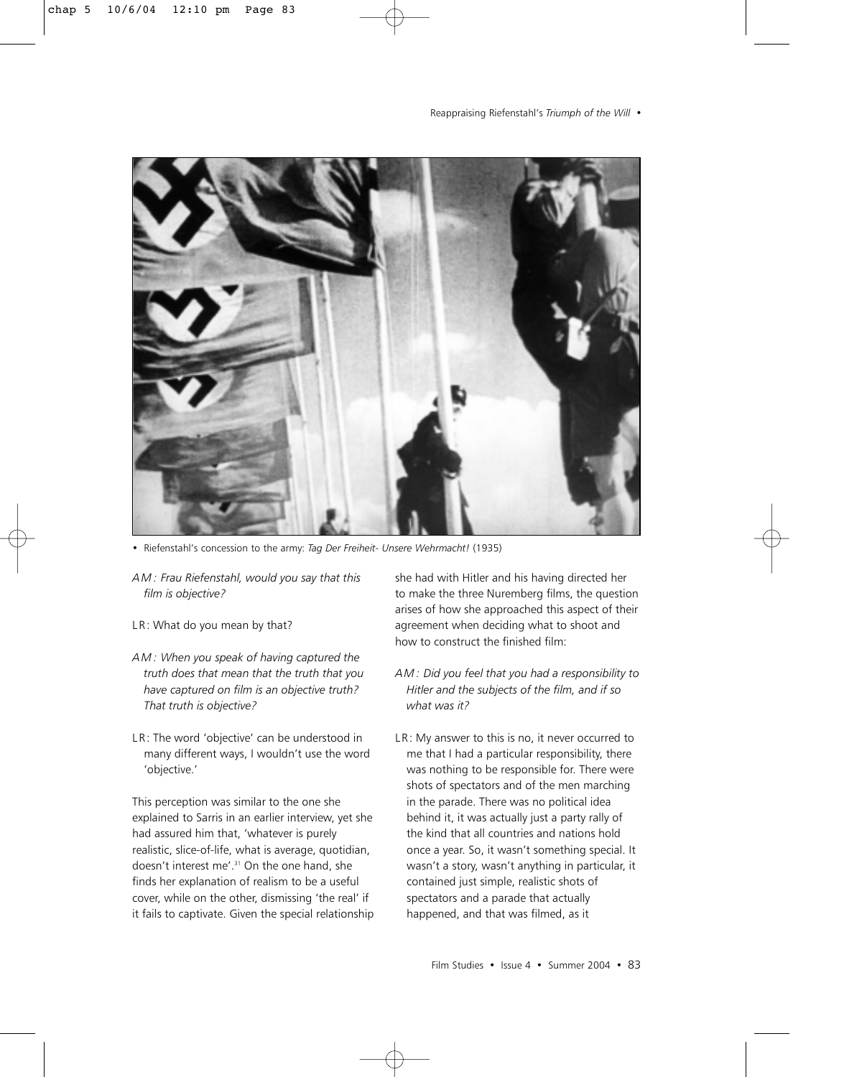

• Riefenstahl's concession to the army: *Tag Der Freiheit- Unsere Wehrmacht!* (1935)

- *AM: Frau Riefenstahl, would you say that this film is objective?*
- LR: What do you mean by that?
- *AM: When you speak of having captured the truth does that mean that the truth that you have captured on film is an objective truth? That truth is objective?*
- LR: The word 'objective' can be understood in many different ways, I wouldn't use the word 'objective.'

This perception was similar to the one she explained to Sarris in an earlier interview, yet she had assured him that, 'whatever is purely realistic, slice-of-life, what is average, quotidian, doesn't interest me'.31 On the one hand, she finds her explanation of realism to be a useful cover, while on the other, dismissing 'the real' if it fails to captivate. Given the special relationship

she had with Hitler and his having directed her to make the three Nuremberg films, the question arises of how she approached this aspect of their agreement when deciding what to shoot and how to construct the finished film:

- *AM: Did you feel that you had a responsibility to Hitler and the subjects of the film, and if so what was it?*
- LR: My answer to this is no, it never occurred to me that I had a particular responsibility, there was nothing to be responsible for. There were shots of spectators and of the men marching in the parade. There was no political idea behind it, it was actually just a party rally of the kind that all countries and nations hold once a year. So, it wasn't something special. It wasn't a story, wasn't anything in particular, it contained just simple, realistic shots of spectators and a parade that actually happened, and that was filmed, as it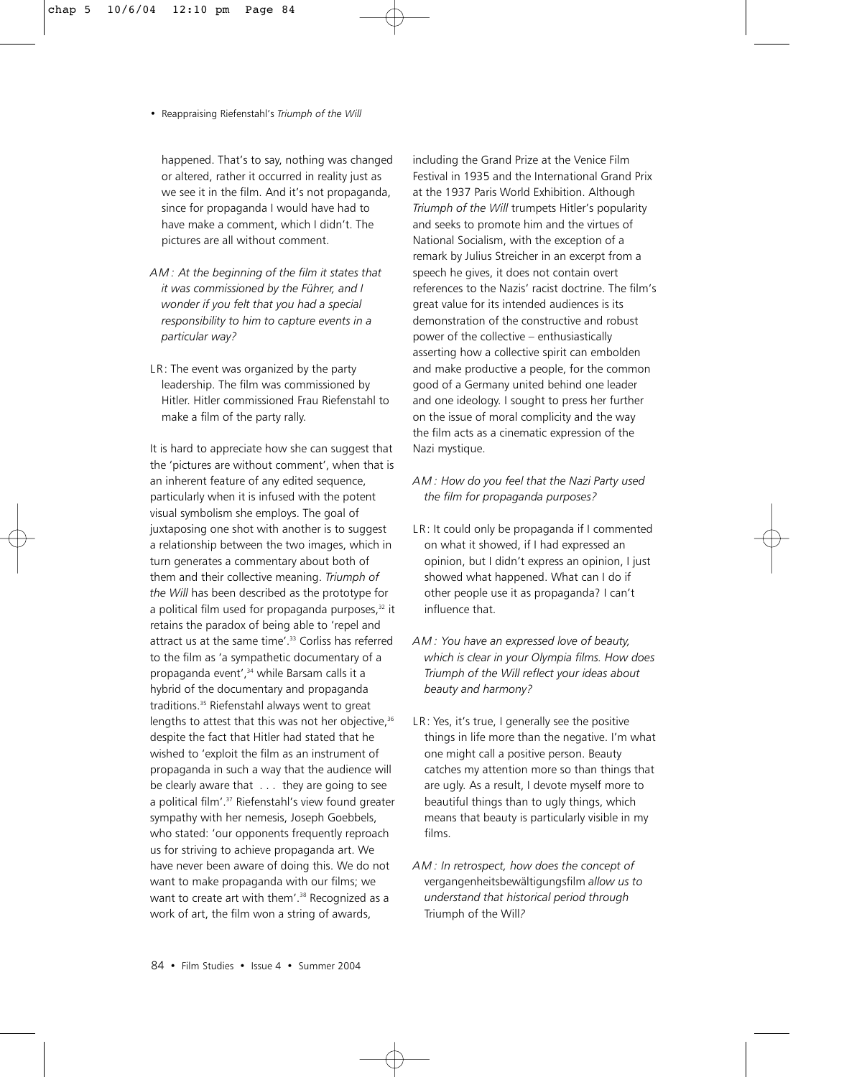happened. That's to say, nothing was changed or altered, rather it occurred in reality just as we see it in the film. And it's not propaganda, since for propaganda I would have had to have make a comment, which I didn't. The pictures are all without comment.

- *AM: At the beginning of the film it states that it was commissioned by the Führer, and I wonder if you felt that you had a special responsibility to him to capture events in a particular way?*
- LR: The event was organized by the party leadership. The film was commissioned by Hitler. Hitler commissioned Frau Riefenstahl to make a film of the party rally.

It is hard to appreciate how she can suggest that the 'pictures are without comment', when that is an inherent feature of any edited sequence, particularly when it is infused with the potent visual symbolism she employs. The goal of juxtaposing one shot with another is to suggest a relationship between the two images, which in turn generates a commentary about both of them and their collective meaning. *Triumph of the Will* has been described as the prototype for a political film used for propaganda purposes,<sup>32</sup> it retains the paradox of being able to 'repel and attract us at the same time'.<sup>33</sup> Corliss has referred to the film as 'a sympathetic documentary of a propaganda event',<sup>34</sup> while Barsam calls it a hybrid of the documentary and propaganda traditions.35 Riefenstahl always went to great lengths to attest that this was not her objective,<sup>36</sup> despite the fact that Hitler had stated that he wished to 'exploit the film as an instrument of propaganda in such a way that the audience will be clearly aware that . . . they are going to see a political film'.37 Riefenstahl's view found greater sympathy with her nemesis, Joseph Goebbels, who stated: 'our opponents frequently reproach us for striving to achieve propaganda art. We have never been aware of doing this. We do not want to make propaganda with our films; we want to create art with them'.<sup>38</sup> Recognized as a work of art, the film won a string of awards,

including the Grand Prize at the Venice Film Festival in 1935 and the International Grand Prix at the 1937 Paris World Exhibition. Although *Triumph of the Will* trumpets Hitler's popularity and seeks to promote him and the virtues of National Socialism, with the exception of a remark by Julius Streicher in an excerpt from a speech he gives, it does not contain overt references to the Nazis' racist doctrine. The film's great value for its intended audiences is its demonstration of the constructive and robust power of the collective – enthusiastically asserting how a collective spirit can embolden and make productive a people, for the common good of a Germany united behind one leader and one ideology. I sought to press her further on the issue of moral complicity and the way the film acts as a cinematic expression of the Nazi mystique.

- *AM: How do you feel that the Nazi Party used the film for propaganda purposes?*
- LR: It could only be propaganda if I commented on what it showed, if I had expressed an opinion, but I didn't express an opinion, I just showed what happened. What can I do if other people use it as propaganda? I can't influence that.
- *AM: You have an expressed love of beauty, which is clear in your Olympia films. How does Triumph of the Will reflect your ideas about beauty and harmony?*
- LR: Yes, it's true, I generally see the positive things in life more than the negative. I'm what one might call a positive person. Beauty catches my attention more so than things that are ugly. As a result, I devote myself more to beautiful things than to ugly things, which means that beauty is particularly visible in my films.
- *AM: In retrospect, how does the concept of* vergangenheitsbewältigungsfilm *allow us to understand that historical period through* Triumph of the Will*?*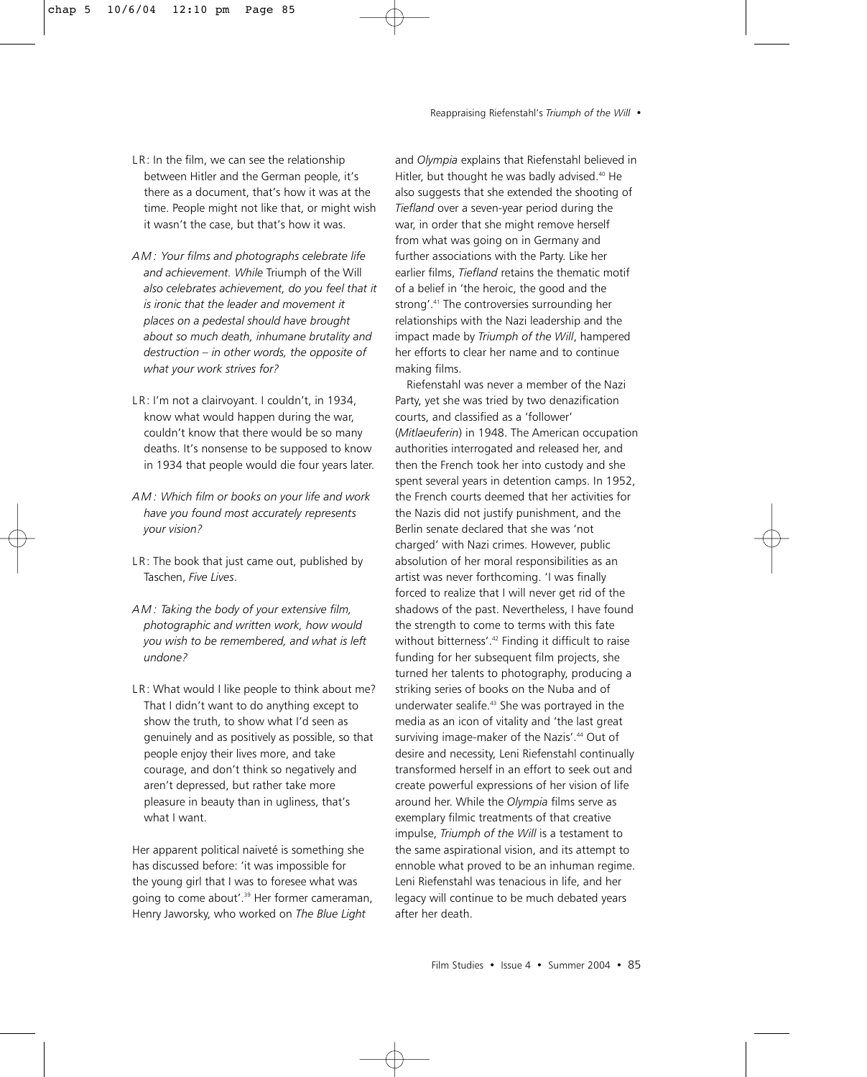- LR: In the film, we can see the relationship between Hitler and the German people, it's there as a document, that's how it was at the time. People might not like that, or might wish it wasn't the case, but that's how it was.
- *AM: Your films and photographs celebrate life and achievement. While* Triumph of the Will *also celebrates achievement, do you feel that it is ironic that the leader and movement it places on a pedestal should have brought about so much death, inhumane brutality and destruction – in other words, the opposite of what your work strives for?*
- LR: I'm not a clairvoyant. I couldn't, in 1934, know what would happen during the war, couldn't know that there would be so many deaths. It's nonsense to be supposed to know in 1934 that people would die four years later.
- *AM: Which film or books on your life and work have you found most accurately represents your vision?*
- LR: The book that just came out, published by Taschen, *Five Lives*.
- *AM: Taking the body of your extensive film, photographic and written work, how would you wish to be remembered, and what is left undone?*
- LR: What would I like people to think about me? That I didn't want to do anything except to show the truth, to show what I'd seen as genuinely and as positively as possible, so that people enjoy their lives more, and take courage, and don't think so negatively and aren't depressed, but rather take more pleasure in beauty than in ugliness, that's what I want.

Her apparent political naiveté is something she has discussed before: 'it was impossible for the young girl that I was to foresee what was going to come about'.<sup>39</sup> Her former cameraman, Henry Jaworsky, who worked on *The Blue Light*

and *Olympia* explains that Riefenstahl believed in Hitler, but thought he was badly advised.<sup>40</sup> He also suggests that she extended the shooting of *Tiefland* over a seven-year period during the war, in order that she might remove herself from what was going on in Germany and further associations with the Party. Like her earlier films, *Tiefland* retains the thematic motif of a belief in 'the heroic, the good and the strong'.41 The controversies surrounding her relationships with the Nazi leadership and the impact made by *Triumph of the Will*, hampered her efforts to clear her name and to continue making films.

Riefenstahl was never a member of the Nazi Party, yet she was tried by two denazification courts, and classified as a 'follower' (*Mitlaeuferin*) in 1948. The American occupation authorities interrogated and released her, and then the French took her into custody and she spent several years in detention camps. In 1952, the French courts deemed that her activities for the Nazis did not justify punishment, and the Berlin senate declared that she was 'not charged' with Nazi crimes. However, public absolution of her moral responsibilities as an artist was never forthcoming. 'I was finally forced to realize that I will never get rid of the shadows of the past. Nevertheless, I have found the strength to come to terms with this fate without bitterness'.<sup>42</sup> Finding it difficult to raise funding for her subsequent film projects, she turned her talents to photography, producing a striking series of books on the Nuba and of underwater sealife.43 She was portrayed in the media as an icon of vitality and 'the last great surviving image-maker of the Nazis'.<sup>44</sup> Out of desire and necessity, Leni Riefenstahl continually transformed herself in an effort to seek out and create powerful expressions of her vision of life around her. While the *Olympia* films serve as exemplary filmic treatments of that creative impulse, *Triumph of the Will* is a testament to the same aspirational vision, and its attempt to ennoble what proved to be an inhuman regime. Leni Riefenstahl was tenacious in life, and her legacy will continue to be much debated years after her death.